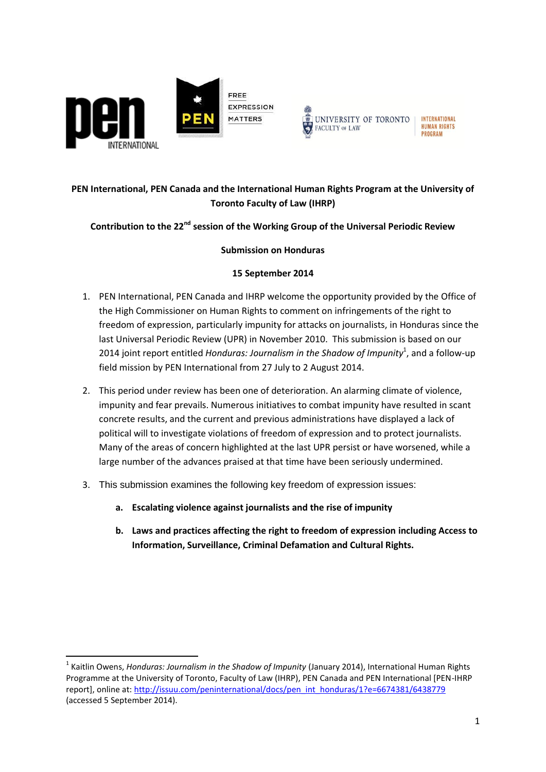



# **PEN International, PEN Canada and the International Human Rights Program at the University of Toronto Faculty of Law (IHRP)**

## **Contribution to the 22nd session of the Working Group of the Universal Periodic Review**

### **Submission on Honduras**

### **15 September 2014**

- 1. PEN International, PEN Canada and IHRP welcome the opportunity provided by the Office of the High Commissioner on Human Rights to comment on infringements of the right to freedom of expression, particularly impunity for attacks on journalists, in Honduras since the last Universal Periodic Review (UPR) in November 2010. This submission is based on our 2014 joint report entitled *Honduras: Journalism in the Shadow of Impunity*<sup>1</sup>, and a follow-up field mission by PEN International from 27 July to 2 August 2014.
- 2. This period under review has been one of deterioration. An alarming climate of violence, impunity and fear prevails. Numerous initiatives to combat impunity have resulted in scant concrete results, and the current and previous administrations have displayed a lack of political will to investigate violations of freedom of expression and to protect journalists. Many of the areas of concern highlighted at the last UPR persist or have worsened, while a large number of the advances praised at that time have been seriously undermined.
- 3. This submission examines the following key freedom of expression issues:
	- **a. Escalating violence against journalists and the rise of impunity**
	- **b. Laws and practices affecting the right to freedom of expression including Access to Information, Surveillance, Criminal Defamation and Cultural Rights.**

<sup>&</sup>lt;sup>1</sup> Kaitlin Owens, *Honduras: Journalism in the Shadow of Impunity* (January 2014), International Human Rights Programme at the University of Toronto, Faculty of Law (IHRP), PEN Canada and PEN International [PEN-IHRP report], online at: [http://issuu.com/peninternational/docs/pen\\_int\\_honduras/1?e=6674381/6438779](http://issuu.com/peninternational/docs/pen_int_honduras/1?e=6674381/6438779) (accessed 5 September 2014).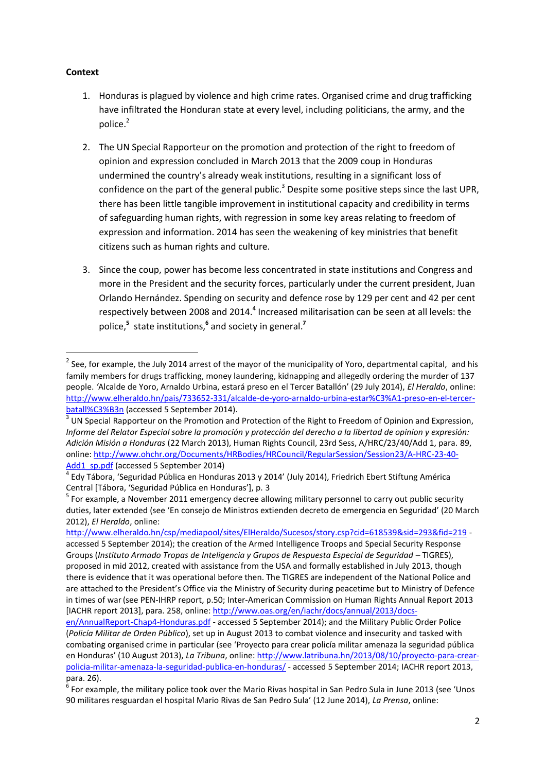#### **Context**

1

- 1. Honduras is plagued by violence and high crime rates. Organised crime and drug trafficking have infiltrated the Honduran state at every level, including politicians, the army, and the police.<sup>2</sup>
- 2. The UN Special Rapporteur on the promotion and protection of the right to freedom of opinion and expression concluded in March 2013 that the 2009 coup in Honduras undermined the country's already weak institutions, resulting in a significant loss of confidence on the part of the general public.<sup>3</sup> Despite some positive steps since the last UPR, there has been little tangible improvement in institutional capacity and credibility in terms of safeguarding human rights, with regression in some key areas relating to freedom of expression and information. 2014 has seen the weakening of key ministries that benefit citizens such as human rights and culture.
- 3. Since the coup, power has become less concentrated in state institutions and Congress and more in the President and the security forces, particularly under the current president, Juan Orlando Hernández. Spending on security and defence rose by 129 per cent and 42 per cent respectively between 2008 and 2014.**<sup>4</sup>** Increased militarisation can be seen at all levels: the police,**<sup>5</sup>** state institutions,**<sup>6</sup>** and society in general.**<sup>7</sup>**

 $^2$  See, for example, the July 2014 arrest of the mayor of the municipality of Yoro, departmental capital, and his family members for drugs trafficking, money laundering, kidnapping and allegedly ordering the murder of 137 people. *'*Alcalde de Yoro, Arnaldo Urbina, estará preso en el Tercer Batallón' (29 July 2014), *El Heraldo*, online: [http://www.elheraldo.hn/pais/733652-331/alcalde-de-yoro-arnaldo-urbina-estar%C3%A1-preso-en-el-tercer](http://www.elheraldo.hn/pais/733652-331/alcalde-de-yoro-arnaldo-urbina-estar%C3%A1-preso-en-el-tercer-batall%C3%B3n)[batall%C3%B3n](http://www.elheraldo.hn/pais/733652-331/alcalde-de-yoro-arnaldo-urbina-estar%C3%A1-preso-en-el-tercer-batall%C3%B3n) (accessed 5 September 2014).

 $3$  UN Special Rapporteur on the Promotion and Protection of the Right to Freedom of Opinion and Expression, *Informe del Relator Especial sobre la promoción y protección del derecho a la libertad de opinion y expresión: Adición Misión a Honduras* (22 March 2013), Human Rights Council, 23rd Sess, A/HRC/23/40/Add 1, para. 89, online[: http://www.ohchr.org/Documents/HRBodies/HRCouncil/RegularSession/Session23/A-HRC-23-40-](http://www.ohchr.org/Documents/HRBodies/HRCouncil/RegularSession/Session23/A-HRC-23-40-Add1_sp.pdf) [Add1\\_sp.pdf](http://www.ohchr.org/Documents/HRBodies/HRCouncil/RegularSession/Session23/A-HRC-23-40-Add1_sp.pdf) (accessed 5 September 2014)

<sup>4</sup> Edy Tábora, 'Seguridad Pública en Honduras 2013 y 2014' (July 2014), Friedrich Ebert Stiftung América Central [Tábora, 'Seguridad Pública en Honduras'], p. 3

<sup>&</sup>lt;sup>5</sup> For example, a November 2011 emergency decree allowing military personnel to carry out public security duties, later extended (see 'En consejo de Ministros extienden decreto de emergencia en Seguridad' (20 March 2012), *El Heraldo*, online:

<http://www.elheraldo.hn/csp/mediapool/sites/ElHeraldo/Sucesos/story.csp?cid=618539&sid=293&fid=219> accessed 5 September 2014); the creation of the Armed Intelligence Troops and Special Security Response Groups (*Instituto Armado Tropas de Inteligencia y Grupos de Respuesta Especial de Seguridad – TIGRES*), proposed in mid 2012, created with assistance from the USA and formally established in July 2013, though there is evidence that it was operational before then. The TIGRES are independent of the National Police and are attached to the President's Office via the Ministry of Security during peacetime but to Ministry of Defence in times of war(see PEN-IHRP report, p.50; Inter-American Commission on Human Rights Annual Report 2013 [IACHR report 2013], para. 258, online: [http://www.oas.org/en/iachr/docs/annual/2013/docs-](http://www.oas.org/en/iachr/docs/annual/2013/docs-en/AnnualReport-Chap4-Honduras.pdf)

[en/AnnualReport-Chap4-Honduras.pdf](http://www.oas.org/en/iachr/docs/annual/2013/docs-en/AnnualReport-Chap4-Honduras.pdf) - accessed 5 September 2014); and the Military Public Order Police (*Policía Militar de Orden Público*), set up in August 2013 to combat violence and insecurity and tasked with combating organised crime in particular (see 'Proyecto para crear policía militar amenaza la seguridad pública en Honduras' (10 August 2013), *La Tribuna*, online[: http://www.latribuna.hn/2013/08/10/proyecto-para-crear](http://www.latribuna.hn/2013/08/10/proyecto-para-crear-policia-militar-amenaza-la-seguridad-publica-en-honduras/)[policia-militar-amenaza-la-seguridad-publica-en-honduras/](http://www.latribuna.hn/2013/08/10/proyecto-para-crear-policia-militar-amenaza-la-seguridad-publica-en-honduras/) - accessed 5 September 2014; IACHR report 2013, para. 26).

<sup>6</sup> For example, the military police took over the Mario Rivas hospital in San Pedro Sula in June 2013 (see 'Unos 90 militares resguardan el hospital Mario Rivas de San Pedro Sula' (12 June 2014), *La Prensa*, online: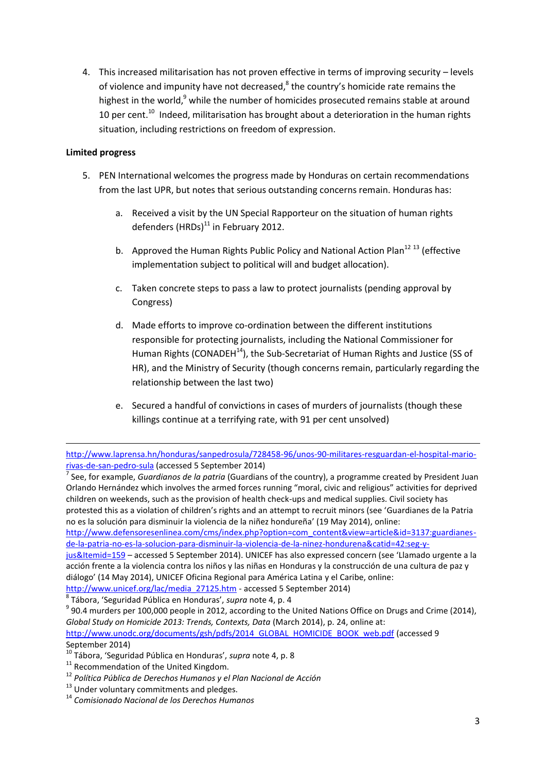4. This increased militarisation has not proven effective in terms of improving security – levels of violence and impunity have not decreased, <sup>8</sup> the country's homicide rate remains the highest in the world,<sup>9</sup> while the number of homicides prosecuted remains stable at around 10 per cent.<sup>10</sup> Indeed, militarisation has brought about a deterioration in the human rights situation, including restrictions on freedom of expression.

### **Limited progress**

1

- 5. PEN International welcomes the progress made by Honduras on certain recommendations from the last UPR, but notes that serious outstanding concerns remain. Honduras has:
	- a. Received a visit by the UN Special Rapporteur on the situation of human rights defenders  $(HRDs)^{11}$  in February 2012.
	- b. Approved the Human Rights Public Policy and National Action Plan<sup>12 13</sup> (effective implementation subject to political will and budget allocation).
	- c. Taken concrete steps to pass a law to protect journalists (pending approval by Congress)
	- d. Made efforts to improve co-ordination between the different institutions responsible for protecting journalists, including the National Commissioner for Human Rights (CONADEH $^{14}$ ), the Sub-Secretariat of Human Rights and Justice (SS of HR), and the Ministry of Security (though concerns remain, particularly regarding the relationship between the last two)
	- e. Secured a handful of convictions in cases of murders of journalists (though these killings continue at a terrifying rate, with 91 per cent unsolved)

7 See, for example, *Guardianos de la patria* (Guardians of the country), a programme created by President Juan Orlando Hernández which involves the armed forces running "moral, civic and religious" activities for deprived children on weekends, such as the provision of health check-ups and medical supplies. Civil society has protested this as a violation of children's rights and an attempt to recruit minors (see 'Guardianes de la Patria no es la solución para disminuir la violencia de la niñez hondureña' (19 May 2014), online:

[http://www.defensoresenlinea.com/cms/index.php?option=com\\_content&view=article&id=3137:guardianes](http://www.defensoresenlinea.com/cms/index.php?option=com_content&view=article&id=3137:guardianes-de-la-patria-no-es-la-solucion-para-disminuir-la-violencia-de-la-ninez-hondurena&catid=42:seg-y-jus&Itemid=159)[de-la-patria-no-es-la-solucion-para-disminuir-la-violencia-de-la-ninez-hondurena&catid=42:seg-y-](http://www.defensoresenlinea.com/cms/index.php?option=com_content&view=article&id=3137:guardianes-de-la-patria-no-es-la-solucion-para-disminuir-la-violencia-de-la-ninez-hondurena&catid=42:seg-y-jus&Itemid=159)

[jus&Itemid=159](http://www.defensoresenlinea.com/cms/index.php?option=com_content&view=article&id=3137:guardianes-de-la-patria-no-es-la-solucion-para-disminuir-la-violencia-de-la-ninez-hondurena&catid=42:seg-y-jus&Itemid=159) – accessed 5 September 2014). UNICEF has also expressed concern (see 'Llamado urgente a la acción frente a la violencia contra los niños y las niñas en Honduras y la construcción de una cultura de paz y diálogo' (14 May 2014), UNICEF Oficina Regional para América Latina y el Caribe, online:

[http://www.unicef.org/lac/media\\_27125.htm](http://www.unicef.org/lac/media_27125.htm) - accessed 5 September 2014)

8 Tábora, 'Seguridad Pública en Honduras', *supra* note 4, p. 4

[http://www.unodc.org/documents/gsh/pdfs/2014\\_GLOBAL\\_HOMICIDE\\_BOOK\\_web.pdf](http://www.unodc.org/documents/gsh/pdfs/2014_GLOBAL_HOMICIDE_BOOK_web.pdf) (accessed 9 September 2014)

<sup>11</sup> Recommendation of the United Kingdom.

<sup>13</sup> Under voluntary commitments and pledges.

[http://www.laprensa.hn/honduras/sanpedrosula/728458-96/unos-90-militares-resguardan-el-hospital-mario](http://www.laprensa.hn/honduras/sanpedrosula/728458-96/unos-90-militares-resguardan-el-hospital-mario-rivas-de-san-pedro-sula)[rivas-de-san-pedro-sula](http://www.laprensa.hn/honduras/sanpedrosula/728458-96/unos-90-militares-resguardan-el-hospital-mario-rivas-de-san-pedro-sula) (accessed 5 September 2014)

 $9$  90.4 murders per 100,000 people in 2012, according to the United Nations Office on Drugs and Crime (2014), *Global Study on Homicide 2013: Trends, Contexts, Data* (March 2014), p. 24, online at:

<sup>10</sup> Tábora, 'Seguridad Pública en Honduras', *supra* note 4, p. 8

<sup>12</sup> *Política Pública de Derechos Humanos y el Plan Nacional de Acción*

<sup>14</sup> *Comisionado Nacional de los Derechos Humanos*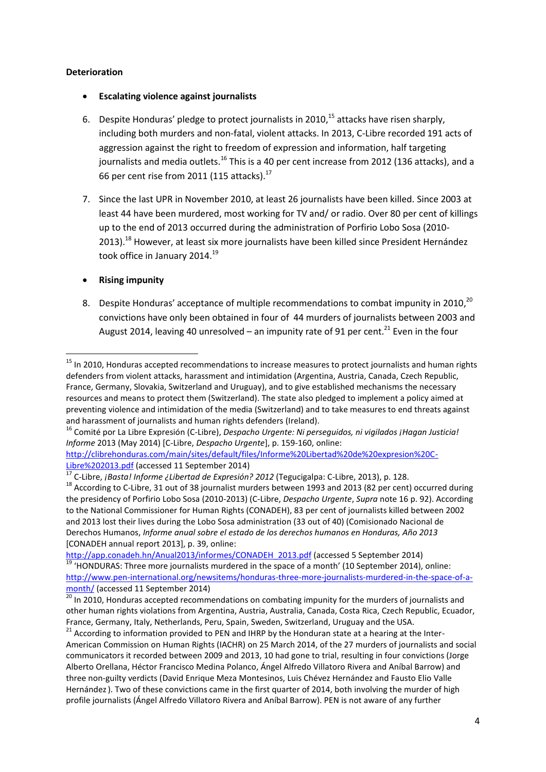#### **Deterioration**

- **Escalating violence against journalists**
- 6. Despite Honduras' pledge to protect journalists in 2010, <sup>15</sup> attacks have risen sharply, including both murders and non-fatal, violent attacks. In 2013, C-Libre recorded 191 acts of aggression against the right to freedom of expression and information, half targeting journalists and media outlets.<sup>16</sup> This is a 40 per cent increase from 2012 (136 attacks), and a 66 per cent rise from 2011 (115 attacks). $^{17}$
- 7. Since the last UPR in November 2010, at least 26 journalists have been killed. Since 2003 at least 44 have been murdered, most working for TV and/ or radio. Over 80 per cent of killings up to the end of 2013 occurred during the administration of Porfirio Lobo Sosa (2010- 2013).<sup>18</sup> However, at least six more journalists have been killed since President Hernández took office in January 2014.<sup>19</sup>
- **Rising impunity**

**.** 

8. Despite Honduras' acceptance of multiple recommendations to combat impunity in 2010,<sup>20</sup> convictions have only been obtained in four of 44 murders of journalists between 2003 and August 2014, leaving 40 unresolved – an impunity rate of 91 per cent.<sup>21</sup> Even in the four

<sup>16</sup> Comité por La Libre Expresión (C-Libre), *Despacho Urgente: Ni perseguidos, ni vigilados ¡Hagan Justicia! Informe* 2013 (May 2014) [C-Libre, *Despacho Urgente*], p. 159-160, online:

[http://app.conadeh.hn/Anual2013/informes/CONADEH\\_2013.pdf](http://app.conadeh.hn/Anual2013/informes/CONADEH_2013.pdf) (accessed 5 September 2014)  $\frac{19}{19}$  'HONDURAS: Three more journalists murdered in the space of a month' (10 September 2014), online: [http://www.pen-international.org/newsitems/honduras-three-more-journalists-murdered-in-the-space-of-a](http://www.pen-international.org/newsitems/honduras-three-more-journalists-murdered-in-the-space-of-a-month/)[month/](http://www.pen-international.org/newsitems/honduras-three-more-journalists-murdered-in-the-space-of-a-month/) (accessed 11 September 2014)

<sup>&</sup>lt;sup>15</sup> In 2010, Honduras accepted recommendations to increase measures to protect journalists and human rights defenders from violent attacks, harassment and intimidation (Argentina, Austria, Canada, Czech Republic, France, Germany, Slovakia, Switzerland and Uruguay), and to give established mechanisms the necessary resources and means to protect them (Switzerland). The state also pledged to implement a policy aimed at preventing violence and intimidation of the media (Switzerland) and to take measures to end threats against and harassment of journalists and human rights defenders (Ireland).

[http://clibrehonduras.com/main/sites/default/files/Informe%20Libertad%20de%20expresion%20C-](http://clibrehonduras.com/main/sites/default/files/Informe%20Libertad%20de%20expresion%20C-Libre%202013.pdf)[Libre%202013.pdf](http://clibrehonduras.com/main/sites/default/files/Informe%20Libertad%20de%20expresion%20C-Libre%202013.pdf) (accessed 11 September 2014)

<sup>17</sup> C-Libre, *¡Basta! Informe ¿Libertad de Expresión? 2012* (Tegucigalpa: C-Libre, 2013), p. 128.

<sup>&</sup>lt;sup>18</sup> According to C-Libre, 31 out of 38 journalist murders between 1993 and 2013 (82 per cent) occurred during the presidency of Porfirio Lobo Sosa (2010-2013) (C-Libre, *Despacho Urgente*, *Supra* note 16 p. 92). According to the National Commissioner for Human Rights (CONADEH), 83 per cent of journalists killed between 2002 and 2013 lost their lives during the Lobo Sosa administration (33 out of 40) (Comisionado Nacional de Derechos Humanos, *Informe anual sobre el estado de los derechos humanos en Honduras, Año 2013*  [CONADEH annual report 2013], p. 39, online:

 $\overline{20}$  In 2010. Honduras accepted recommendations on combating impunity for the murders of journalists and other human rights violations from Argentina, Austria, Australia, Canada, Costa Rica, Czech Republic, Ecuador, France, Germany, Italy, Netherlands, Peru, Spain, Sweden, Switzerland, Uruguay and the USA.

 $21$  According to information provided to PEN and IHRP by the Honduran state at a hearing at the Inter-American Commission on Human Rights (IACHR) on 25 March 2014, of the 27 murders of journalists and social communicators it recorded between 2009 and 2013, 10 had gone to trial, resulting in four convictions (Jorge Alberto Orellana, Héctor Francisco Medina Polanco, Ángel Alfredo Villatoro Rivera and Aníbal Barrow) and three non-guilty verdicts (David Enrique Meza Montesinos, Luis Chévez Hernández and Fausto Elio Valle Hernández). Two of these convictions came in the first quarter of 2014, both involving the murder of high profile journalists (Ángel Alfredo Villatoro Rivera and Aníbal Barrow). PEN is not aware of any further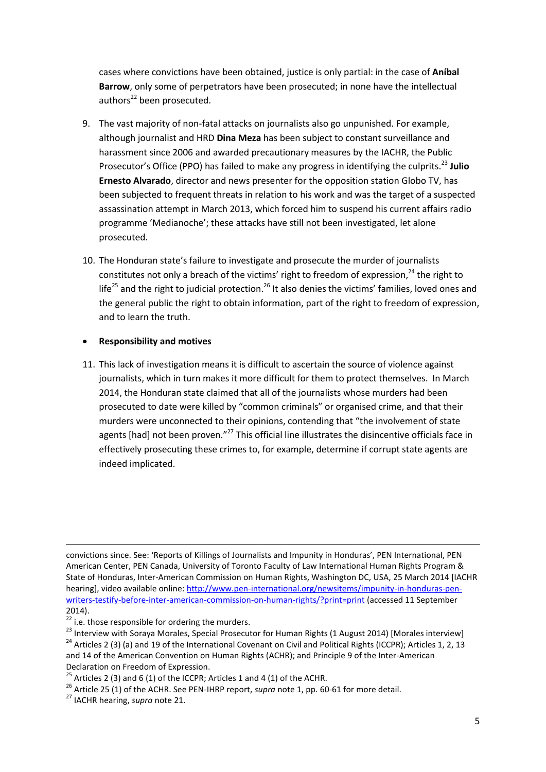cases where convictions have been obtained, justice is only partial: in the case of **Aníbal Barrow**, only some of perpetrators have been prosecuted; in none have the intellectual authors<sup>22</sup> been prosecuted.

- 9. The vast majority of non-fatal attacks on journalists also go unpunished. For example, although journalist and HRD **Dina Meza** has been subject to constant surveillance and harassment since 2006 and awarded precautionary measures by the IACHR, the Public Prosecutor's Office (PPO) has failed to make any progress in identifying the culprits.<sup>23</sup> **Julio Ernesto Alvarado**, director and news presenter for the opposition station Globo TV, has been subjected to frequent threats in relation to his work and was the target of a suspected assassination attempt in March 2013, which forced him to suspend his current affairs radio programme 'Medianoche'; these attacks have still not been investigated, let alone prosecuted.
- 10. The Honduran state's failure to investigate and prosecute the murder of journalists constitutes not only a breach of the victims' right to freedom of expression,<sup>24</sup> the right to life<sup>25</sup> and the right to judicial protection.<sup>26</sup> It also denies the victims' families, loved ones and the general public the right to obtain information, part of the right to freedom of expression, and to learn the truth.

#### **Responsibility and motives**

11. This lack of investigation means it is difficult to ascertain the source of violence against journalists, which in turn makes it more difficult for them to protect themselves. In March 2014, the Honduran state claimed that all of the journalists whose murders had been prosecuted to date were killed by "common criminals" or organised crime, and that their murders were unconnected to their opinions, contending that "the involvement of state agents [had] not been proven."<sup>27</sup> This official line illustrates the disincentive officials face in effectively prosecuting these crimes to, for example, determine if corrupt state agents are indeed implicated.

convictions since. See: 'Reports of Killings of Journalists and Impunity in Honduras', PEN International, PEN American Center, PEN Canada, University of Toronto Faculty of Law International Human Rights Program & State of Honduras, Inter-American Commission on Human Rights, Washington DC, USA, 25 March 2014 [IACHR hearing], video available online[: http://www.pen-international.org/newsitems/impunity-in-honduras-pen](http://www.pen-international.org/newsitems/impunity-in-honduras-pen-writers-testify-before-inter-american-commission-on-human-rights/?print=print)[writers-testify-before-inter-american-commission-on-human-rights/?print=print](http://www.pen-international.org/newsitems/impunity-in-honduras-pen-writers-testify-before-inter-american-commission-on-human-rights/?print=print) (accessed 11 September 2014).

 $22$  i.e. those responsible for ordering the murders.

<sup>&</sup>lt;sup>23</sup> Interview with Soraya Morales, Special Prosecutor for Human Rights (1 August 2014) [Morales interview]

 $24$  Articles 2 (3) (a) and 19 of the International Covenant on Civil and Political Rights (ICCPR); Articles 1, 2, 13 and 14 of the American Convention on Human Rights (ACHR); and Principle 9 of the Inter-American Declaration on Freedom of Expression.

<sup>&</sup>lt;sup>25</sup> Articles 2 (3) and 6 (1) of the ICCPR; Articles 1 and 4 (1) of the ACHR.

<sup>26</sup> Article 25 (1) of the ACHR. See PEN-IHRP report, *supra* note 1, pp. 60-61 for more detail.

<sup>27</sup> IACHR hearing, *supra* note 21.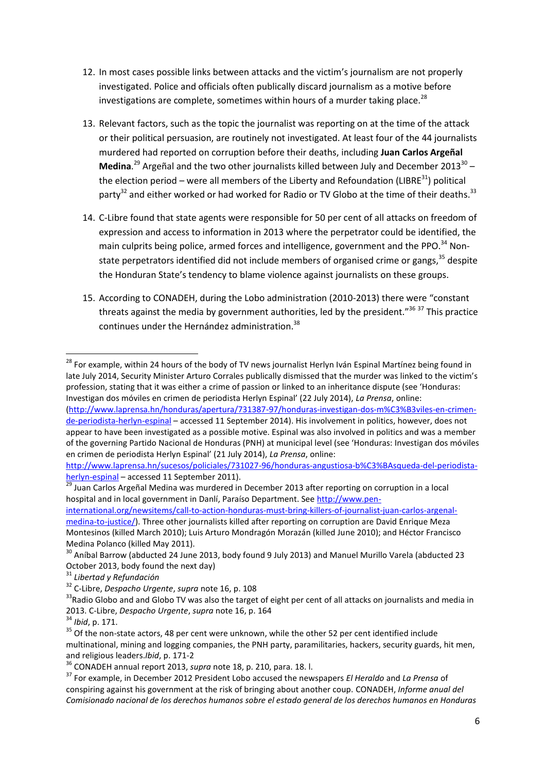- 12. In most cases possible links between attacks and the victim's journalism are not properly investigated. Police and officials often publically discard journalism as a motive before investigations are complete, sometimes within hours of a murder taking place.<sup>28</sup>
- 13. Relevant factors, such as the topic the journalist was reporting on at the time of the attack or their political persuasion, are routinely not investigated. At least four of the 44 journalists murdered had reported on corruption before their deaths, including **Juan Carlos Argeñal** Medina.<sup>29</sup> Argeñal and the two other journalists killed between July and December 2013<sup>30</sup> the election period – were all members of the Liberty and Refoundation (LIBRE<sup>31</sup>) political party<sup>32</sup> and either worked or had worked for Radio or TV Globo at the time of their deaths.<sup>33</sup>
- 14. C-Libre found that state agents were responsible for 50 per cent of all attacks on freedom of expression and access to information in 2013 where the perpetrator could be identified, the main culprits being police, armed forces and intelligence, government and the PPO.<sup>34</sup> Nonstate perpetrators identified did not include members of organised crime or gangs, $35$  despite the Honduran State's tendency to blame violence against journalists on these groups.
- 15. According to CONADEH, during the Lobo administration (2010-2013) there were "constant threats against the media by government authorities, led by the president."<sup>36 37</sup> This practice continues under the Hernández administration.<sup>38</sup>

<sup>&</sup>lt;sup>28</sup> For example, within 24 hours of the body of TV news journalist Herlyn Iván Espinal Martínez being found in late July 2014, Security Minister Arturo Corrales publically dismissed that the murder was linked to the victim's profession, stating that it was either a crime of passion or linked to an inheritance dispute (see 'Honduras: Investigan dos móviles en crimen de periodista Herlyn Espinal' (22 July 2014), *La Prensa*, online:

[<sup>\(</sup>http://www.laprensa.hn/honduras/apertura/731387-97/honduras-investigan-dos-m%C3%B3viles-en-crimen](http://www.laprensa.hn/honduras/apertura/731387-97/honduras-investigan-dos-m%C3%B3viles-en-crimen-de-periodista-herlyn-espinal)[de-periodista-herlyn-espinal](http://www.laprensa.hn/honduras/apertura/731387-97/honduras-investigan-dos-m%C3%B3viles-en-crimen-de-periodista-herlyn-espinal) – accessed 11 September 2014). His involvement in politics, however, does not appear to have been investigated as a possible motive. Espinal was also involved in politics and was a member of the governing Partido Nacional de Honduras (PNH) at municipal level (see 'Honduras: Investigan dos móviles en crimen de periodista Herlyn Espinal' (21 July 2014), *La Prensa*, online:

[http://www.laprensa.hn/sucesos/policiales/731027-96/honduras-angustiosa-b%C3%BAsqueda-del-periodista](http://www.laprensa.hn/sucesos/policiales/731027-96/honduras-angustiosa-b%C3%BAsqueda-del-periodista-herlyn-espinal)[herlyn-espinal](http://www.laprensa.hn/sucesos/policiales/731027-96/honduras-angustiosa-b%C3%BAsqueda-del-periodista-herlyn-espinal) – accessed 11 September 2011).

<sup>29</sup> Juan Carlos Argeñal Medina was murdered in December 2013 after reporting on corruption in a local hospital and in local government in Danlí, Paraíso Department. Se[e http://www.pen-](http://www.pen-international.org/newsitems/call-to-action-honduras-must-bring-killers-of-journalist-juan-carlos-argenal-medina-to-justice/)

[international.org/newsitems/call-to-action-honduras-must-bring-killers-of-journalist-juan-carlos-argenal](http://www.pen-international.org/newsitems/call-to-action-honduras-must-bring-killers-of-journalist-juan-carlos-argenal-medina-to-justice/)[medina-to-justice/\)](http://www.pen-international.org/newsitems/call-to-action-honduras-must-bring-killers-of-journalist-juan-carlos-argenal-medina-to-justice/). Three other journalists killed after reporting on corruption are David Enrique Meza Montesinos (killed March 2010); Luis Arturo Mondragón Morazán (killed June 2010); and Héctor Francisco Medina Polanco (killed May 2011).

<sup>&</sup>lt;sup>30</sup> Aníbal Barrow (abducted 24 June 2013, body found 9 July 2013) and Manuel Murillo Varela (abducted 23 October 2013, body found the next day)

<sup>31</sup> *Libertad y Refundación*

<sup>32</sup> C-Libre, *Despacho Urgente*, *supra* note 16, p. 108

<sup>&</sup>lt;sup>33</sup>Radio Globo and and Globo TV was also the target of eight per cent of all attacks on journalists and media in 2013. C-Libre, *Despacho Urgente*, *supra* note 16, p. 164

<sup>34</sup> *Ibid*, p. 171.

<sup>&</sup>lt;sup>35</sup> Of the non-state actors, 48 per cent were unknown, while the other 52 per cent identified include multinational, mining and logging companies, the PNH party, paramilitaries, hackers, security guards, hit men, and religious leaders.*Ibid*, p. 171-2

<sup>36</sup> CONADEH annual report 2013, *supra* note 18, p. 210, para. 18. l.

<sup>37</sup> For example, in December 2012 President Lobo accused the newspapers *El Heraldo* and *La Prensa* of conspiring against his government at the risk of bringing about another coup. CONADEH, *Informe anual del Comisionado nacional de los derechos humanos sobre el estado general de los derechos humanos en Honduras*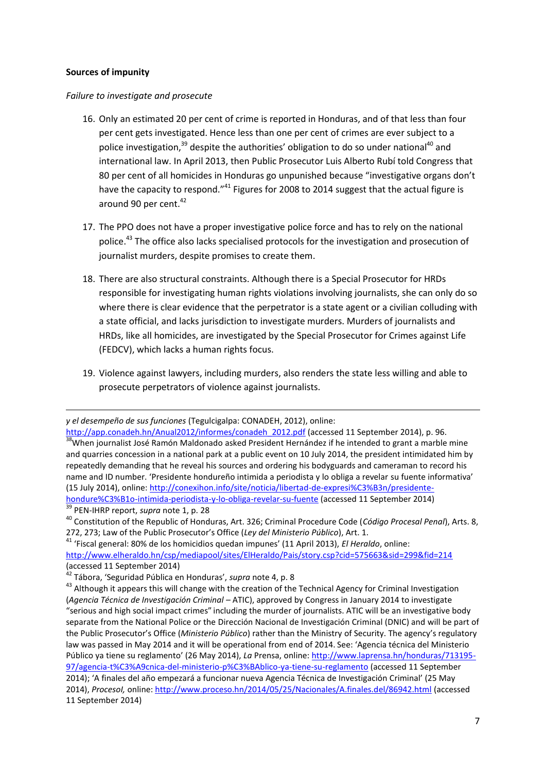#### **Sources of impunity**

#### *Failure to investigate and prosecute*

- 16. Only an estimated 20 per cent of crime is reported in Honduras, and of that less than four per cent gets investigated. Hence less than one per cent of crimes are ever subject to a police investigation,<sup>39</sup> despite the authorities' obligation to do so under national<sup>40</sup> and international law. In April 2013, then Public Prosecutor Luis Alberto Rubí told Congress that 80 per cent of all homicides in Honduras go unpunished because "investigative organs don't have the capacity to respond."<sup>41</sup> Figures for 2008 to 2014 suggest that the actual figure is around 90 per cent. $42$
- 17. The PPO does not have a proper investigative police force and has to rely on the national police.<sup>43</sup> The office also lacks specialised protocols for the investigation and prosecution of journalist murders, despite promises to create them.
- 18. There are also structural constraints. Although there is a Special Prosecutor for HRDs responsible for investigating human rights violations involving journalists, she can only do so where there is clear evidence that the perpetrator is a state agent or a civilian colluding with a state official, and lacks jurisdiction to investigate murders. Murders of journalists and HRDs, like all homicides, are investigated by the Special Prosecutor for Crimes against Life (FEDCV), which lacks a human rights focus.
- 19. Violence against lawyers, including murders, also renders the state less willing and able to prosecute perpetrators of violence against journalists.

<sup>39</sup> PEN-IHRP report, *supra* note 1, p. 28

**.** 

<sup>41</sup> 'Fiscal general: 80% de los homicidios quedan impunes' (11 April 2013), *El Heraldo*, online: <http://www.elheraldo.hn/csp/mediapool/sites/ElHeraldo/Pais/story.csp?cid=575663&sid=299&fid=214> (accessed 11 September 2014)

*y el desempeño de sus funciones* (Tegulcigalpa: CONADEH, 2012), online:

[http://app.conadeh.hn/Anual2012/informes/conadeh\\_2012.pdf](http://app.conadeh.hn/Anual2012/informes/conadeh_2012.pdf) (accessed 11 September 2014), p. 96. <sup>38</sup>When journalist José Ramón Maldonado asked President Hernández if he intended to grant a marble mine and quarries concession in a national park at a public event on 10 July 2014, the president intimidated him by repeatedly demanding that he reveal his sources and ordering his bodyguards and cameraman to record his name and ID number. 'Presidente hondureño intimida a periodista y lo obliga a revelar su fuente informativa' (15 July 2014), online: [http://conexihon.info/site/noticia/libertad-de-expresi%C3%B3n/presidente](http://conexihon.info/site/noticia/libertad-de-expresi%C3%B3n/presidente-hondure%C3%B1o-intimida-periodista-y-lo-obliga-revelar-su-fuente)[hondure%C3%B1o-intimida-periodista-y-lo-obliga-revelar-su-fuente](http://conexihon.info/site/noticia/libertad-de-expresi%C3%B3n/presidente-hondure%C3%B1o-intimida-periodista-y-lo-obliga-revelar-su-fuente) (accessed 11 September 2014)

<sup>40</sup> Constitution of the Republic of Honduras, Art. 326; Criminal Procedure Code (*Código Procesal Penal*), Arts. 8, 272, 273; Law of the Public Prosecutor's Office (*Ley del Ministerio Público*), Art. 1.

<sup>42</sup> Tábora, 'Seguridad Pública en Honduras', *supra* note 4, p. 8

<sup>&</sup>lt;sup>43</sup> Although it appears this will change with the creation of the Technical Agency for Criminal Investigation (*Agencia Técnica de Investigación Criminal –* ATIC), approved by Congress in January 2014 to investigate "serious and high social impact crimes" including the murder of journalists. ATIC will be an investigative body separate from the National Police or the Dirección Nacional de Investigación Criminal (DNIC) and will be part of the Public Prosecutor's Office (*Ministerio Público*) rather than the Ministry of Security. The agency's regulatory law was passed in May 2014 and it will be operational from end of 2014. See: 'Agencia técnica del Ministerio Público ya tiene su reglamento' (26 May 2014), *La* Prensa, online: [http://www.laprensa.hn/honduras/713195-](http://www.laprensa.hn/honduras/713195-97/agencia-t%C3%A9cnica-del-ministerio-p%C3%BAblico-ya-tiene-su-reglamento) [97/agencia-t%C3%A9cnica-del-ministerio-p%C3%BAblico-ya-tiene-su-reglamento](http://www.laprensa.hn/honduras/713195-97/agencia-t%C3%A9cnica-del-ministerio-p%C3%BAblico-ya-tiene-su-reglamento) (accessed 11 September 2014); 'A finales del año empezará a funcionar nueva Agencia Técnica de Investigación Criminal' (25 May 2014), *ProcesoI,* online:<http://www.proceso.hn/2014/05/25/Nacionales/A.finales.del/86942.html> (accessed 11 September 2014)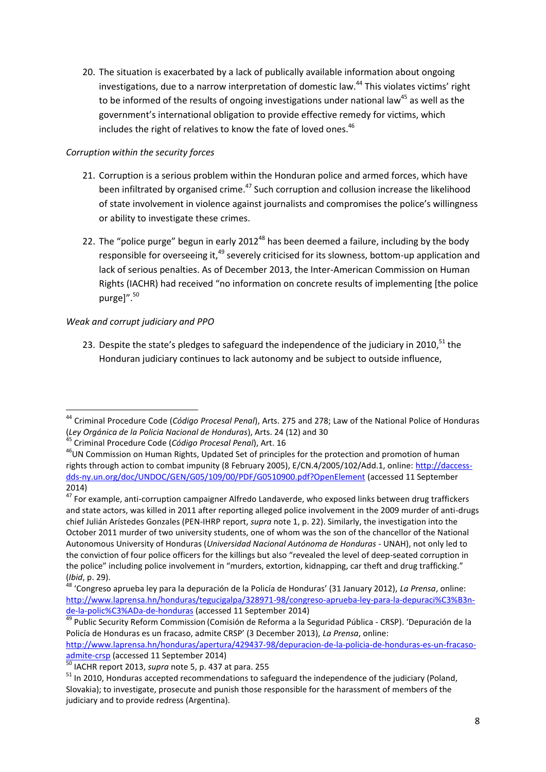20. The situation is exacerbated by a lack of publically available information about ongoing investigations, due to a narrow interpretation of domestic law.<sup>44</sup> This violates victims' right to be informed of the results of ongoing investigations under national law<sup>45</sup> as well as the government's international obligation to provide effective remedy for victims, which includes the right of relatives to know the fate of loved ones.<sup>46</sup>

### *Corruption within the security forces*

- 21. Corruption is a serious problem within the Honduran police and armed forces, which have been infiltrated by organised crime.<sup>47</sup> Such corruption and collusion increase the likelihood of state involvement in violence against journalists and compromises the police's willingness or ability to investigate these crimes.
- 22. The "police purge" begun in early 2012<sup>48</sup> has been deemed a failure, including by the body responsible for overseeing it,<sup>49</sup> severely criticised for its slowness, bottom-up application and lack of serious penalties. As of December 2013, the Inter-American Commission on Human Rights (IACHR) had received "no information on concrete results of implementing [the police purgel".<sup>50</sup>

## *Weak and corrupt judiciary and PPO*

23. Despite the state's pledges to safeguard the independence of the judiciary in 2010, $51$  the Honduran judiciary continues to lack autonomy and be subject to outside influence,

**<sup>.</sup>** <sup>44</sup> Criminal Procedure Code (*Código Procesal Penal*), Arts. 275 and 278; Law of the National Police of Honduras (*Ley Orgánica de la Policia Nacional de Honduras*), Arts. 24 (12) and 30

<sup>45</sup> Criminal Procedure Code (*Código Procesal Penal*), Art. 16

<sup>46</sup>UN Commission on Human Rights, Updated Set of principles for the protection and promotion of human rights through action to combat impunity (8 February 2005), E/CN.4/2005/102/Add.1, online: [http://daccess](http://daccess-dds-ny.un.org/doc/UNDOC/GEN/G05/109/00/PDF/G0510900.pdf?OpenElement)[dds-ny.un.org/doc/UNDOC/GEN/G05/109/00/PDF/G0510900.pdf?OpenElement](http://daccess-dds-ny.un.org/doc/UNDOC/GEN/G05/109/00/PDF/G0510900.pdf?OpenElement) (accessed 11 September 2014)

<sup>&</sup>lt;sup>47</sup> For example, anti-corruption campaigner Alfredo Landaverde, who exposed links between drug traffickers and state actors, was killed in 2011 after reporting alleged police involvement in the 2009 murder of anti-drugs chief Julián Arístedes Gonzales (PEN-IHRP report, *supra* note 1, p. 22). Similarly, the investigation into the October 2011 murder of two university students, one of whom was the son of the chancellor of the National Autonomous University of Honduras (*Universidad Nacional Autónoma de Honduras* - UNAH), not only led to the conviction of four police officers for the killings but also "revealed the level of deep-seated corruption in the police" including police involvement in "murders, extortion, kidnapping, car theft and drug trafficking." (*Ibid*, p. 29).

<sup>48</sup> 'Congreso aprueba ley para la depuración de la Policía de Honduras' (31 January 2012), *La Prensa*, online: [http://www.laprensa.hn/honduras/tegucigalpa/328971-98/congreso-aprueba-ley-para-la-depuraci%C3%B3n](http://www.laprensa.hn/honduras/tegucigalpa/328971-98/congreso-aprueba-ley-para-la-depuraci%C3%B3n-de-la-polic%C3%ADa-de-honduras)[de-la-polic%C3%ADa-de-honduras](http://www.laprensa.hn/honduras/tegucigalpa/328971-98/congreso-aprueba-ley-para-la-depuraci%C3%B3n-de-la-polic%C3%ADa-de-honduras) (accessed 11 September 2014)

<sup>&</sup>lt;sup>49</sup> Public Security Reform Commission (Comisión de Reforma a la Seguridad Pública - CRSP). 'Depuración de la Policía de Honduras es un fracaso, admite CRSP' (3 December 2013), *La Prensa*, online:

[http://www.laprensa.hn/honduras/apertura/429437-98/depuracion-de-la-policia-de-honduras-es-un-fracaso](http://www.laprensa.hn/honduras/apertura/429437-98/depuracion-de-la-policia-de-honduras-es-un-fracaso-admite-crsp)[admite-crsp](http://www.laprensa.hn/honduras/apertura/429437-98/depuracion-de-la-policia-de-honduras-es-un-fracaso-admite-crsp) (accessed 11 September 2014)

<sup>50</sup> IACHR report 2013, *supra* note 5, p. 437 at para. 255

<sup>&</sup>lt;sup>51</sup> In 2010, Honduras accepted recommendations to safeguard the independence of the judiciary (Poland, Slovakia); to investigate, prosecute and punish those responsible for the harassment of members of the judiciary and to provide redress (Argentina).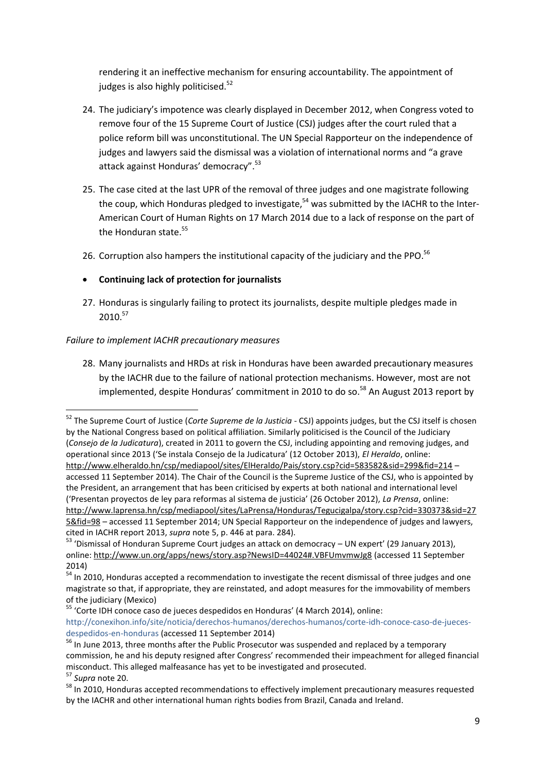rendering it an ineffective mechanism for ensuring accountability. The appointment of judges is also highly politicised.<sup>52</sup>

- 24. The judiciary's impotence was clearly displayed in December 2012, when Congress voted to remove four of the 15 Supreme Court of Justice (CSJ) judges after the court ruled that a police reform bill was unconstitutional. The UN Special Rapporteur on the independence of judges and lawyers said the dismissal was a violation of international norms and "a grave attack against Honduras' democracy".<sup>53</sup>
- 25. The case cited at the last UPR of the removal of three judges and one magistrate following the coup, which Honduras pledged to investigate,<sup>54</sup> was submitted by the IACHR to the Inter-American Court of Human Rights on 17 March 2014 due to a lack of response on the part of the Honduran state.<sup>55</sup>
- 26. Corruption also hampers the institutional capacity of the judiciary and the PPO.<sup>56</sup>

## **Continuing lack of protection for journalists**

27. Honduras is singularly failing to protect its journalists, despite multiple pledges made in  $2010.<sup>57</sup>$ 

### *Failure to implement IACHR precautionary measures*

28. Many journalists and HRDs at risk in Honduras have been awarded precautionary measures by the IACHR due to the failure of national protection mechanisms. However, most are not implemented, despite Honduras' commitment in 2010 to do so. $58$  An August 2013 report by

<sup>55</sup> 'Corte IDH conoce caso de jueces despedidos en Honduras' (4 March 2014), online: http://conexihon.info/site/noticia/derechos-humanos/derechos-humanos/corte-idh-conoce-caso-de-juecesdespedidos-en-honduras (accessed 11 September 2014)

<sup>52</sup> The Supreme Court of Justice (*Corte Supreme de la Justicia* - CSJ) appoints judges, but the CSJ itself is chosen by the National Congress based on political affiliation. Similarly politicised is the Council of the Judiciary (*Consejo de la Judicatura*), created in 2011 to govern the CSJ, including appointing and removing judges, and operational since 2013 ('Se instala Consejo de la Judicatura' (12 October 2013), *El Heraldo*, online: <http://www.elheraldo.hn/csp/mediapool/sites/ElHeraldo/Pais/story.csp?cid=583582&sid=299&fid=214> – accessed 11 September 2014). The Chair of the Council is the Supreme Justice of the CSJ, who is appointed by the President, an arrangement that has been criticised by experts at both national and international level ('Presentan proyectos de ley para reformas al sistema de justicia' (26 October 2012), *La Prensa*, online: [http://www.laprensa.hn/csp/mediapool/sites/LaPrensa/Honduras/Tegucigalpa/story.csp?cid=330373&sid=27](http://www.laprensa.hn/csp/mediapool/sites/LaPrensa/Honduras/Tegucigalpa/story.csp?cid=330373&sid=275&fid=98)

[<sup>5&</sup>amp;fid=98](http://www.laprensa.hn/csp/mediapool/sites/LaPrensa/Honduras/Tegucigalpa/story.csp?cid=330373&sid=275&fid=98) – accessed 11 September 2014; UN Special Rapporteur on the independence of judges and lawyers, cited in IACHR report 2013, *supra* note 5, p. 446 at para. 284).

<sup>&</sup>lt;sup>53</sup> 'Dismissal of Honduran Supreme Court judges an attack on democracy – UN expert' (29 January 2013), online[: http://www.un.org/apps/news/story.asp?NewsID=44024#.VBFUmvmwJg8](http://www.un.org/apps/news/story.asp?NewsID=44024#.VBFUmvmwJg8) (accessed 11 September 2014)

 $54$  In 2010. Honduras accepted a recommendation to investigate the recent dismissal of three judges and one magistrate so that, if appropriate, they are reinstated, and adopt measures for the immovability of members of the judiciary (Mexico)

<sup>56</sup> In June 2013, three months after the Public Prosecutor was suspended and replaced by a temporary commission, he and his deputy resigned after Congress' recommended their impeachment for alleged financial misconduct. This alleged malfeasance has yet to be investigated and prosecuted.

<sup>57</sup> *Supra* note 20.

<sup>&</sup>lt;sup>58</sup> In 2010, Honduras accepted recommendations to effectively implement precautionary measures requested by the IACHR and other international human rights bodies from Brazil, Canada and Ireland.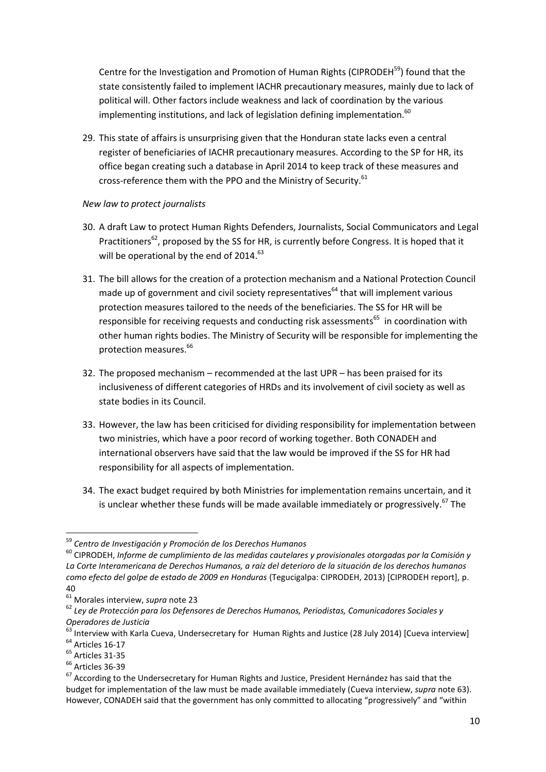Centre for the Investigation and Promotion of Human Rights (CIPRODEH<sup>59</sup>) found that the state consistently failed to implement IACHR precautionary measures, mainly due to lack of political will. Other factors include weakness and lack of coordination by the various implementing institutions, and lack of legislation defining implementation.<sup>60</sup>

29. This state of affairs is unsurprising given that the Honduran state lacks even a central register of beneficiaries of IACHR precautionary measures. According to the SP for HR, its office began creating such a database in April 2014 to keep track of these measures and cross-reference them with the PPO and the Ministry of Security.<sup>61</sup>

#### *New law to protect journalists*

- 30. A draft Law to protect Human Rights Defenders, Journalists, Social Communicators and Legal Practitioners<sup>62</sup>, proposed by the SS for HR, is currently before Congress. It is hoped that it will be operational by the end of 2014. $^{63}$
- 31. The bill allows for the creation of a protection mechanism and a National Protection Council made up of government and civil society representatives<sup> $64$ </sup> that will implement various protection measures tailored to the needs of the beneficiaries. The SS for HR will be responsible for receiving requests and conducting risk assessments<sup>65</sup> in coordination with other human rights bodies. The Ministry of Security will be responsible for implementing the protection measures.<sup>66</sup>
- 32. The proposed mechanism recommended at the last UPR has been praised for its inclusiveness of different categories of HRDs and its involvement of civil society as well as state bodies in its Council.
- 33. However, the law has been criticised for dividing responsibility for implementation between two ministries, which have a poor record of working together. Both CONADEH and international observers have said that the law would be improved if the SS for HR had responsibility for all aspects of implementation.
- 34. The exact budget required by both Ministries for implementation remains uncertain, and it is unclear whether these funds will be made available immediately or progressively.<sup>67</sup> The

<sup>59</sup> *Centro de Investigación y Promoción de los Derechos Humanos*

<sup>60</sup> CIPRODEH, *Informe de cumplimiento de las medidas cautelares y provisionales otorgadas por la Comisión y La Corte Interamericana de Derechos Humanos, a raíz del deterioro de la situación de los derechos humanos como efecto del golpe de estado de 2009 en Honduras* (Tegucigalpa: CIPRODEH, 2013) [CIPRODEH report], p. 40

<sup>61</sup> Morales interview, *supra* note 23

<sup>62</sup> *Ley de Protección para los Defensores de Derechos Humanos, Periodistas, Comunicadores Sociales y Operadores de Justicia*

<sup>&</sup>lt;sup>63</sup> Interview with Karla Cueva, Undersecretary for Human Rights and Justice (28 July 2014) [Cueva interview] <sup>64</sup> Articles 16-17

<sup>65</sup> Articles 31-35

<sup>&</sup>lt;sup>66</sup> Articles 36-39

 $67$  According to the Undersecretary for Human Rights and Justice, President Hernández has said that the budget for implementation of the law must be made available immediately (Cueva interview, *supra* note 63). However, CONADEH said that the government has only committed to allocating "progressively" and "within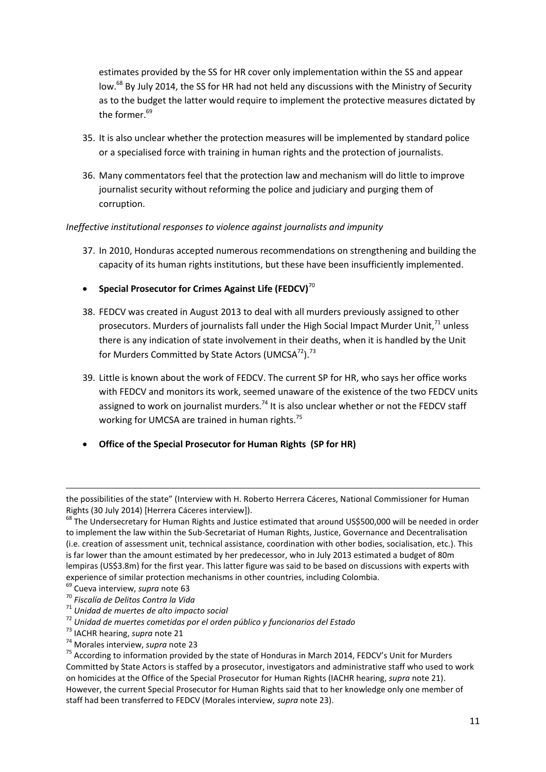estimates provided by the SS for HR cover only implementation within the SS and appear low.<sup>68</sup> By July 2014, the SS for HR had not held any discussions with the Ministry of Security as to the budget the latter would require to implement the protective measures dictated by the former.<sup>69</sup>

- 35. It is also unclear whether the protection measures will be implemented by standard police or a specialised force with training in human rights and the protection of journalists.
- 36. Many commentators feel that the protection law and mechanism will do little to improve journalist security without reforming the police and judiciary and purging them of corruption.

*Ineffective institutional responses to violence against journalists and impunity*

37. In 2010, Honduras accepted numerous recommendations on strengthening and building the capacity of its human rights institutions, but these have been insufficiently implemented.

### **•** Special Prosecutor for Crimes Against Life (FEDCV)<sup>70</sup>

- 38. FEDCV was created in August 2013 to deal with all murders previously assigned to other prosecutors. Murders of journalists fall under the High Social Impact Murder Unit,<sup>71</sup> unless there is any indication of state involvement in their deaths, when it is handled by the Unit for Murders Committed by State Actors (UMCSA<sup>72</sup>).<sup>73</sup>
- 39. Little is known about the work of FEDCV. The current SP for HR, who says her office works with FEDCV and monitors its work, seemed unaware of the existence of the two FEDCV units assigned to work on journalist murders.<sup>74</sup> It is also unclear whether or not the FEDCV staff working for UMCSA are trained in human rights.<sup>75</sup>
- **Office of the Special Prosecutor for Human Rights (SP for HR)**

 $\overline{\phantom{a}}$ 

<sup>74</sup> Morales interview, *supra* note 23

the possibilities of the state" (Interview with H. Roberto Herrera Cáceres, National Commissioner for Human Rights (30 July 2014) [Herrera Cáceres interview]).

<sup>&</sup>lt;sup>68</sup> The Undersecretary for Human Rights and Justice estimated that around US\$500,000 will be needed in order to implement the law within the Sub-Secretariat of Human Rights, Justice, Governance and Decentralisation (i.e. creation of assessment unit, technical assistance, coordination with other bodies, socialisation, etc.). This is far lower than the amount estimated by her predecessor, who in July 2013 estimated a budget of 80m lempiras (US\$3.8m) for the first year. This latter figure was said to be based on discussions with experts with experience of similar protection mechanisms in other countries, including Colombia.

<sup>69</sup> Cueva interview, *supra* note 63

<sup>70</sup> *Fiscalía de Delitos Contra la Vida*

<sup>71</sup> *Unidad de muertes de alto impacto social*

<sup>72</sup> *Unidad de muertes cometidas por el orden público y funcionarios del Estado*

<sup>73</sup> IACHR hearing, *supra* note 21

<sup>&</sup>lt;sup>75</sup> According to information provided by the state of Honduras in March 2014, FEDCV's Unit for Murders Committed by State Actors is staffed by a prosecutor, investigators and administrative staff who used to work on homicides at the Office of the Special Prosecutor for Human Rights (IACHR hearing, *supra* note 21). However, the current Special Prosecutor for Human Rights said that to her knowledge only one member of staff had been transferred to FEDCV (Morales interview, *supra* note 23).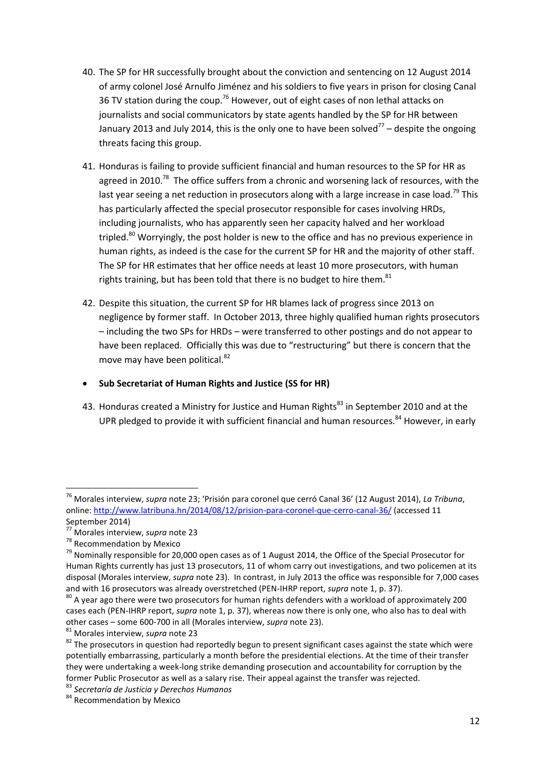- 40. The SP for HR successfully brought about the conviction and sentencing on 12 August 2014 of army colonel José Arnulfo Jiménez and his soldiers to five years in prison for closing Canal 36 TV station during the coup.<sup>76</sup> However, out of eight cases of non lethal attacks on journalists and social communicators by state agents handled by the SP for HR between January 2013 and July 2014, this is the only one to have been solved<sup>77</sup> – despite the ongoing threats facing this group.
- 41. Honduras is failing to provide sufficient financial and human resources to the SP for HR as agreed in 2010.<sup>78</sup> The office suffers from a chronic and worsening lack of resources, with the last year seeing a net reduction in prosecutors along with a large increase in case load.<sup>79</sup> This has particularly affected the special prosecutor responsible for cases involving HRDs, including journalists, who has apparently seen her capacity halved and her workload tripled.<sup>80</sup> Worryingly, the post holder is new to the office and has no previous experience in human rights, as indeed is the case for the current SP for HR and the majority of other staff. The SP for HR estimates that her office needs at least 10 more prosecutors, with human rights training, but has been told that there is no budget to hire them. $81$
- 42. Despite this situation, the current SP for HR blames lack of progress since 2013 on negligence by former staff. In October 2013, three highly qualified human rights prosecutors – including the two SPs for HRDs – were transferred to other postings and do not appear to have been replaced. Officially this was due to "restructuring" but there is concern that the move may have been political.<sup>82</sup>

### **Sub Secretariat of Human Rights and Justice (SS for HR)**

43. Honduras created a Ministry for Justice and Human Rights<sup>83</sup> in September 2010 and at the UPR pledged to provide it with sufficient financial and human resources.<sup>84</sup> However, in early

<sup>76</sup> Morales interview, *supra* note 23; 'Prisión para coronel que cerró Canal 36' (12 August 2014), *La Tribuna*, online[: http://www.latribuna.hn/2014/08/12/prision-para-coronel-que-cerro-canal-36/](http://www.latribuna.hn/2014/08/12/prision-para-coronel-que-cerro-canal-36/) (accessed 11 September 2014)

<sup>77</sup> Morales interview, *supra* note 23

<sup>78</sup> Recommendation by Mexico

<sup>&</sup>lt;sup>79</sup> Nominally responsible for 20,000 open cases as of 1 August 2014, the Office of the Special Prosecutor for Human Rights currently has just 13 prosecutors, 11 of whom carry out investigations, and two policemen at its disposal (Morales interview, *supra* note 23). In contrast, in July 2013 the office was responsible for 7,000 cases and with 16 prosecutors was already overstretched (PEN-IHRP report, *supra* note 1, p. 37).

 $^{80}$  A year ago there were two prosecutors for human rights defenders with a workload of approximately 200 cases each (PEN-IHRP report, *supra* note 1, p. 37), whereas now there is only one, who also has to deal with other cases – some 600-700 in all (Morales interview, *supra* note 23).

<sup>81</sup> Morales interview, *supra* note 23

 $82$  The prosecutors in question had reportedly begun to present significant cases against the state which were potentially embarrassing, particularly a month before the presidential elections. At the time of their transfer they were undertaking a week-long strike demanding prosecution and accountability for corruption by the former Public Prosecutor as well as a salary rise. Their appeal against the transfer was rejected.

<sup>83</sup> *Secretaría de Justicia y Derechos Humanos*

<sup>84</sup> Recommendation by Mexico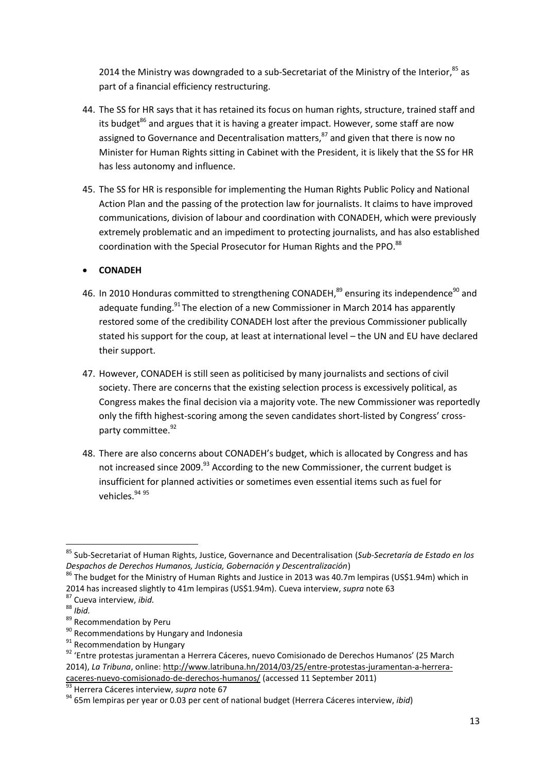2014 the Ministry was downgraded to a sub-Secretariat of the Ministry of the Interior,<sup>85</sup> as part of a financial efficiency restructuring.

- 44. The SS for HR says that it has retained its focus on human rights, structure, trained staff and its budget $^{86}$  and argues that it is having a greater impact. However, some staff are now assigned to Governance and Decentralisation matters,<sup>87</sup> and given that there is now no Minister for Human Rights sitting in Cabinet with the President, it is likely that the SS for HR has less autonomy and influence.
- 45. The SS for HR is responsible for implementing the Human Rights Public Policy and National Action Plan and the passing of the protection law for journalists. It claims to have improved communications, division of labour and coordination with CONADEH, which were previously extremely problematic and an impediment to protecting journalists, and has also established coordination with the Special Prosecutor for Human Rights and the PPO.<sup>88</sup>

### **CONADEH**

- 46. In 2010 Honduras committed to strengthening CONADEH,<sup>89</sup> ensuring its independence<sup>90</sup> and adequate funding.<sup>91</sup> The election of a new Commissioner in March 2014 has apparently restored some of the credibility CONADEH lost after the previous Commissioner publically stated his support for the coup, at least at international level – the UN and EU have declared their support.
- 47. However, CONADEH is still seen as politicised by many journalists and sections of civil society. There are concerns that the existing selection process is excessively political, as Congress makes the final decision via a majority vote. The new Commissioner was reportedly only the fifth highest-scoring among the seven candidates short-listed by Congress' crossparty committee.<sup>92</sup>
- 48. There are also concerns about CONADEH's budget, which is allocated by Congress and has not increased since 2009.<sup>93</sup> According to the new Commissioner, the current budget is insufficient for planned activities or sometimes even essential items such as fuel for vehicles.<sup>94 95</sup>

<sup>85</sup> Sub-Secretariat of Human Rights, Justice, Governance and Decentralisation (*Sub-Secretaría de Estado en los Despachos de Derechos Humanos, Justicia, Gobernación y Descentralización*)

<sup>&</sup>lt;sup>86</sup> The budget for the Ministry of Human Rights and Justice in 2013 was 40.7m lempiras (US\$1.94m) which in 2014 has increased slightly to 41m lempiras (US\$1.94m). Cueva interview, *supra* note 63

<sup>87</sup> Cueva interview, *ibid.*

<sup>88</sup> *Ibid.*

<sup>89</sup> Recommendation by Peru

<sup>&</sup>lt;sup>90</sup> Recommendations by Hungary and Indonesia

<sup>&</sup>lt;sup>91</sup> Recommendation by Hungary

<sup>92 &#</sup>x27;Entre protestas juramentan a Herrera Cáceres, nuevo Comisionado de Derechos Humanos' (25 March 2014), *La Tribuna*, online: [http://www.latribuna.hn/2014/03/25/entre-protestas-juramentan-a-herrera](http://www.latribuna.hn/2014/03/25/entre-protestas-juramentan-a-herrera-caceres-nuevo-comisionado-de-derechos-humanos/)[caceres-nuevo-comisionado-de-derechos-humanos/](http://www.latribuna.hn/2014/03/25/entre-protestas-juramentan-a-herrera-caceres-nuevo-comisionado-de-derechos-humanos/) (accessed 11 September 2011)

<sup>&</sup>lt;sup>3</sup> Herrera Cáceres interview, *supra* note 67

<sup>94</sup> 65m lempiras per year or 0.03 per cent of national budget (Herrera Cáceres interview, *ibid*)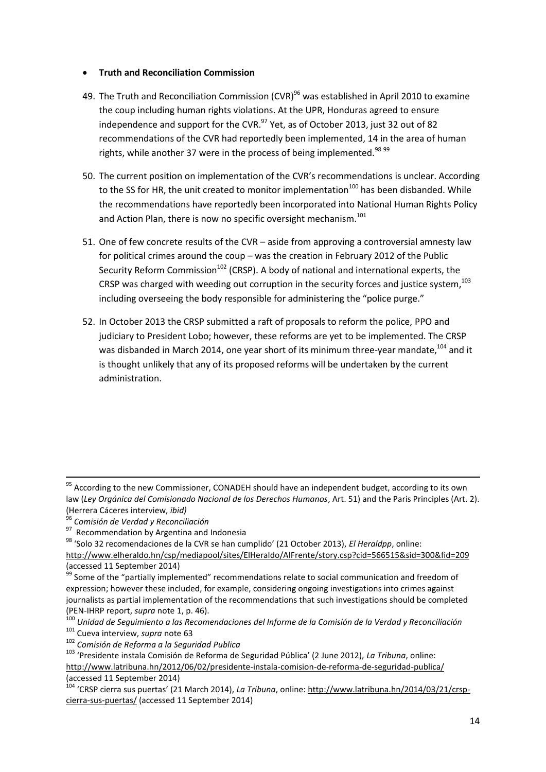#### **Truth and Reconciliation Commission**

- 49. The Truth and Reconciliation Commission (CVR)<sup>96</sup> was established in April 2010 to examine the coup including human rights violations. At the UPR, Honduras agreed to ensure independence and support for the CVR. $^{97}$  Yet, as of October 2013, just 32 out of 82 recommendations of the CVR had reportedly been implemented, 14 in the area of human rights, while another 37 were in the process of being implemented.<sup>98 99</sup>
- 50. The current position on implementation of the CVR's recommendations is unclear. According to the SS for HR, the unit created to monitor implementation<sup>100</sup> has been disbanded. While the recommendations have reportedly been incorporated into National Human Rights Policy and Action Plan, there is now no specific oversight mechanism.<sup>101</sup>
- 51. One of few concrete results of the CVR aside from approving a controversial amnesty law for political crimes around the coup – was the creation in February 2012 of the Public Security Reform Commission<sup>102</sup> (CRSP). A body of national and international experts, the CRSP was charged with weeding out corruption in the security forces and justice system,<sup>103</sup> including overseeing the body responsible for administering the "police purge."
- 52. In October 2013 the CRSP submitted a raft of proposals to reform the police, PPO and judiciary to President Lobo; however, these reforms are yet to be implemented. The CRSP was disbanded in March 2014, one year short of its minimum three-year mandate, <sup>104</sup> and it is thought unlikely that any of its proposed reforms will be undertaken by the current administration.

**.** 

<sup>97</sup> Recommendation by Argentina and Indonesia

<sup>98</sup> 'Solo 32 recomendaciones de la CVR se han cumplido' (21 October 2013), *El Heraldpp*, online:

<sup>101</sup> Cueva interview, *supra* note 63

<sup>102</sup> *Comisión de Reforma a la Seguridad Publica*

 $95$  According to the new Commissioner, CONADEH should have an independent budget, according to its own law (*Ley Orgánica del Comisionado Nacional de los Derechos Humanos*, Art. 51) and the Paris Principles (Art. 2). (Herrera Cáceres interview, *ibid)*

<sup>96</sup> *Comisión de Verdad y Reconciliación* 

<http://www.elheraldo.hn/csp/mediapool/sites/ElHeraldo/AlFrente/story.csp?cid=566515&sid=300&fid=209> (accessed 11 September 2014)

<sup>&</sup>lt;sup>99</sup> Some of the "partially implemented" recommendations relate to social communication and freedom of expression; however these included, for example, considering ongoing investigations into crimes against journalists as partial implementation of the recommendations that such investigations should be completed (PEN-IHRP report, *supra* note 1, p. 46).

<sup>100</sup> *Unidad de Seguimiento a las Recomendaciones del Informe de la Comisión de la Verdad y Reconciliación*

<sup>103</sup> 'Presidente instala Comisión de Reforma de Seguridad Pública' (2 June 2012), *La Tribuna*, online: <http://www.latribuna.hn/2012/06/02/presidente-instala-comision-de-reforma-de-seguridad-publica/> (accessed 11 September 2014)

<sup>104</sup> 'CRSP cierra sus puertas' (21 March 2014), *La Tribuna*, online: [http://www.latribuna.hn/2014/03/21/crsp](http://www.latribuna.hn/2014/03/21/crsp-cierra-sus-puertas/)[cierra-sus-puertas/](http://www.latribuna.hn/2014/03/21/crsp-cierra-sus-puertas/) (accessed 11 September 2014)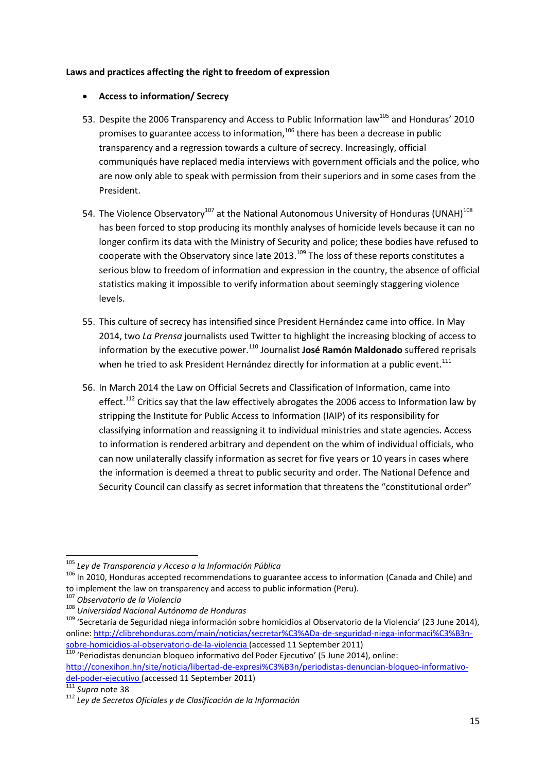#### **Laws and practices affecting the right to freedom of expression**

#### **Access to information/ Secrecy**

- 53. Despite the 2006 Transparency and Access to Public Information law<sup>105</sup> and Honduras' 2010 promises to guarantee access to information,<sup>106</sup> there has been a decrease in public transparency and a regression towards a culture of secrecy. Increasingly, official communiqués have replaced media interviews with government officials and the police, who are now only able to speak with permission from their superiors and in some cases from the President.
- 54. The Violence Observatory<sup>107</sup> at the National Autonomous University of Honduras (UNAH)<sup>108</sup> has been forced to stop producing its monthly analyses of homicide levels because it can no longer confirm its data with the Ministry of Security and police; these bodies have refused to cooperate with the Observatory since late 2013.<sup>109</sup> The loss of these reports constitutes a serious blow to freedom of information and expression in the country, the absence of official statistics making it impossible to verify information about seemingly staggering violence levels.
- 55. This culture of secrecy has intensified since President Hernández came into office. In May 2014, two *La Prensa* journalists used Twitter to highlight the increasing blocking of access to information by the executive power.<sup>110</sup> Journalist **José Ramón Maldonado** suffered reprisals when he tried to ask President Hernández directly for information at a public event.<sup>111</sup>
- 56. In March 2014 the Law on Official Secrets and Classification of Information, came into effect.<sup>112</sup> Critics say that the law effectively abrogates the 2006 access to Information law by stripping the Institute for Public Access to Information (IAIP) of its responsibility for classifying information and reassigning it to individual ministries and state agencies. Access to information is rendered arbitrary and dependent on the whim of individual officials, who can now unilaterally classify information as secret for five years or 10 years in cases where the information is deemed a threat to public security and order. The National Defence and Security Council can classify as secret information that threatens the "constitutional order"

<sup>1</sup> <sup>105</sup> *Ley de Transparencia y Acceso a la Información Pública*

<sup>&</sup>lt;sup>106</sup> In 2010, Honduras accepted recommendations to guarantee access to information (Canada and Chile) and to implement the law on transparency and access to public information (Peru).

<sup>&</sup>lt;sup>7</sup> Observatorio de la Violencia

<sup>108</sup> *Universidad Nacional Autónoma de Honduras*

<sup>&</sup>lt;sup>109</sup> 'Secretaría de Seguridad niega información sobre homicidios al Observatorio de la Violencia' (23 June 2014), online[: http://clibrehonduras.com/main/noticias/secretar%C3%ADa-de-seguridad-niega-informaci%C3%B3n](http://clibrehonduras.com/main/noticias/secretar%C3%ADa-de-seguridad-niega-informaci%C3%B3n-sobre-homicidios-al-observatorio-de-la-violencia)[sobre-homicidios-al-observatorio-de-la-violencia](http://clibrehonduras.com/main/noticias/secretar%C3%ADa-de-seguridad-niega-informaci%C3%B3n-sobre-homicidios-al-observatorio-de-la-violencia) (accessed 11 September 2011)

 $110$  'Periodistas denuncian bloqueo informativo del Poder Ejecutivo' (5 June 2014), online: [http://conexihon.hn/site/noticia/libertad-de-expresi%C3%B3n/periodistas-denuncian-bloqueo-informativo](http://conexihon.hn/site/noticia/libertad-de-expresi%C3%B3n/periodistas-denuncian-bloqueo-informativo-del-poder-ejecutivo)[del-poder-ejecutivo](http://conexihon.hn/site/noticia/libertad-de-expresi%C3%B3n/periodistas-denuncian-bloqueo-informativo-del-poder-ejecutivo) (accessed 11 September 2011)

<sup>111</sup> *Supra* note 38

<sup>112</sup> *Ley de Secretos Oficiales y de Clasificación de la Información*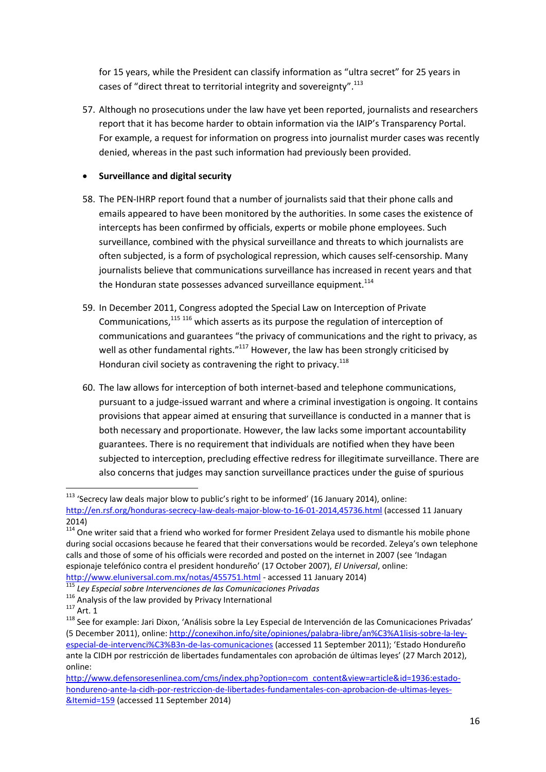for 15 years, while the President can classify information as "ultra secret" for 25 years in cases of "direct threat to territorial integrity and sovereignty".<sup>113</sup>

57. Although no prosecutions under the law have yet been reported, journalists and researchers report that it has become harder to obtain information via the IAIP's Transparency Portal. For example, a request for information on progress into journalist murder cases was recently denied, whereas in the past such information had previously been provided.

### **Surveillance and digital security**

- 58. The PEN-IHRP report found that a number of journalists said that their phone calls and emails appeared to have been monitored by the authorities. In some cases the existence of intercepts has been confirmed by officials, experts or mobile phone employees. Such surveillance, combined with the physical surveillance and threats to which journalists are often subjected, is a form of psychological repression, which causes self-censorship. Many journalists believe that communications surveillance has increased in recent years and that the Honduran state possesses advanced surveillance equipment.<sup>114</sup>
- 59. In December 2011, Congress adopted the Special Law on Interception of Private Communications,<sup>115 116</sup> which asserts as its purpose the regulation of interception of communications and guarantees "the privacy of communications and the right to privacy, as well as other fundamental rights."<sup>117</sup> However, the law has been strongly criticised by Honduran civil society as contravening the right to privacy.<sup>118</sup>
- 60. The law allows for interception of both internet-based and telephone communications, pursuant to a judge-issued warrant and where a criminal investigation is ongoing. It contains provisions that appear aimed at ensuring that surveillance is conducted in a manner that is both necessary and proportionate. However, the law lacks some important accountability guarantees. There is no requirement that individuals are notified when they have been subjected to interception, precluding effective redress for illegitimate surveillance. There are also concerns that judges may sanction surveillance practices under the guise of spurious

 $113$  'Secrecy law deals major blow to public's right to be informed' (16 January 2014), online: <http://en.rsf.org/honduras-secrecy-law-deals-major-blow-to-16-01-2014,45736.html> (accessed 11 January 2014)

 $114$  One writer said that a friend who worked for former President Zelaya used to dismantle his mobile phone during social occasions because he feared that their conversations would be recorded. Zeleya's own telephone calls and those of some of his officials were recorded and posted on the internet in 2007 (see 'Indagan espionaje telefónico contra el president hondureño' (17 October 2007), *El Universal*, online: <http://www.eluniversal.com.mx/notas/455751.html> - accessed 11 January 2014)

<sup>115</sup> *Ley Especial sobre Intervenciones de las Comunicaciones Privadas*

<sup>116</sup> Analysis of the law provided by Privacy International

 $117$  Art. 1

<sup>118</sup> See for example: Jari Dixon, 'Análisis sobre la Ley Especial de Intervención de las Comunicaciones Privadas' (5 December 2011), online: [http://conexihon.info/site/opiniones/palabra-libre/an%C3%A1lisis-sobre-la-ley](http://conexihon.info/site/opiniones/palabra-libre/an%C3%A1lisis-sobre-la-ley-especial-de-intervenci%C3%B3n-de-las-comunicaciones)[especial-de-intervenci%C3%B3n-de-las-comunicaciones](http://conexihon.info/site/opiniones/palabra-libre/an%C3%A1lisis-sobre-la-ley-especial-de-intervenci%C3%B3n-de-las-comunicaciones) (accessed 11 September 2011); 'Estado Hondureño ante la CIDH por restricción de libertades fundamentales con aprobación de últimas leyes' (27 March 2012), online:

[http://www.defensoresenlinea.com/cms/index.php?option=com\\_content&view=article&id=1936:estado](http://www.defensoresenlinea.com/cms/index.php?option=com_content&view=article&id=1936:estado-hondureno-ante-la-cidh-por-restriccion-de-libertades-fundamentales-con-aprobacion-de-ultimas-leyes-&Itemid=159)[hondureno-ante-la-cidh-por-restriccion-de-libertades-fundamentales-con-aprobacion-de-ultimas-leyes-](http://www.defensoresenlinea.com/cms/index.php?option=com_content&view=article&id=1936:estado-hondureno-ante-la-cidh-por-restriccion-de-libertades-fundamentales-con-aprobacion-de-ultimas-leyes-&Itemid=159) [&Itemid=159](http://www.defensoresenlinea.com/cms/index.php?option=com_content&view=article&id=1936:estado-hondureno-ante-la-cidh-por-restriccion-de-libertades-fundamentales-con-aprobacion-de-ultimas-leyes-&Itemid=159) (accessed 11 September 2014)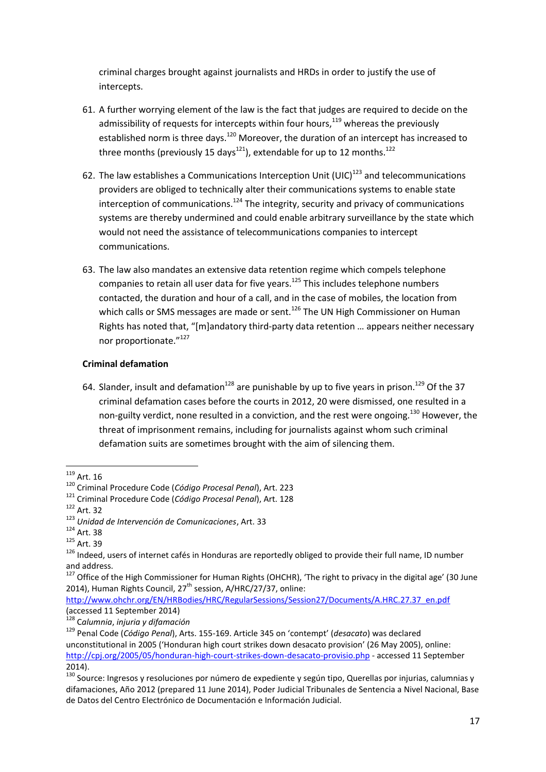criminal charges brought against journalists and HRDs in order to justify the use of intercepts.

- 61. A further worrying element of the law is the fact that judges are required to decide on the admissibility of requests for intercepts within four hours,<sup>119</sup> whereas the previously established norm is three days.<sup>120</sup> Moreover, the duration of an intercept has increased to three months (previously 15 days<sup>121</sup>), extendable for up to 12 months.<sup>122</sup>
- 62. The law establishes a Communications Interception Unit (UIC) $^{123}$  and telecommunications providers are obliged to technically alter their communications systems to enable state interception of communications.<sup>124</sup> The integrity, security and privacy of communications systems are thereby undermined and could enable arbitrary surveillance by the state which would not need the assistance of telecommunications companies to intercept communications.
- 63. The law also mandates an extensive data retention regime which compels telephone companies to retain all user data for five years.<sup>125</sup> This includes telephone numbers contacted, the duration and hour of a call, and in the case of mobiles, the location from which calls or SMS messages are made or sent.<sup>126</sup> The UN High Commissioner on Human Rights has noted that, "[m]andatory third-party data retention … appears neither necessary nor proportionate."127

### **Criminal defamation**

64. Slander, insult and defamation<sup>128</sup> are punishable by up to five years in prison.<sup>129</sup> Of the 37 criminal defamation cases before the courts in 2012, 20 were dismissed, one resulted in a non-guilty verdict, none resulted in a conviction, and the rest were ongoing.<sup>130</sup> However, the threat of imprisonment remains, including for journalists against whom such criminal defamation suits are sometimes brought with the aim of silencing them.

 $119$  Art. 16

<sup>120</sup> Criminal Procedure Code (*Código Procesal Penal*), Art. 223

<sup>121</sup> Criminal Procedure Code (*Código Procesal Penal*), Art. 128

<sup>122</sup> Art. 32

<sup>123</sup> *Unidad de Intervención de Comunicaciones*, Art. 33

 $124$  Art. 38

<sup>125</sup> Art. 39

<sup>&</sup>lt;sup>126</sup> Indeed, users of internet cafés in Honduras are reportedly obliged to provide their full name, ID number and address.

 $127$  Office of the High Commissioner for Human Rights (OHCHR). The right to privacy in the digital age' (30 June 2014), Human Rights Council, 27<sup>th</sup> session, A/HRC/27/37, online:

[http://www.ohchr.org/EN/HRBodies/HRC/RegularSessions/Session27/Documents/A.HRC.27.37\\_en.pdf](http://www.ohchr.org/EN/HRBodies/HRC/RegularSessions/Session27/Documents/A.HRC.27.37_en.pdf) (accessed 11 September 2014)

<sup>128</sup> C*alumnia*, *injuria y difamación*

<sup>129</sup> Penal Code (*Código Penal*), Arts. 155-169. Article 345 on 'contempt' (*desacato*) was declared unconstitutional in 2005 ('Honduran high court strikes down desacato provision' (26 May 2005), online: <http://cpj.org/2005/05/honduran-high-court-strikes-down-desacato-provisio.php> - accessed 11 September 2014).

<sup>&</sup>lt;sup>130</sup> Source: Ingresos y resoluciones por número de expediente y según tipo, Querellas por injurias, calumnias y difamaciones, Año 2012 (prepared 11 June 2014), Poder Judicial Tribunales de Sentencia a Nivel Nacional, Base de Datos del Centro Electrónico de Documentación e Información Judicial.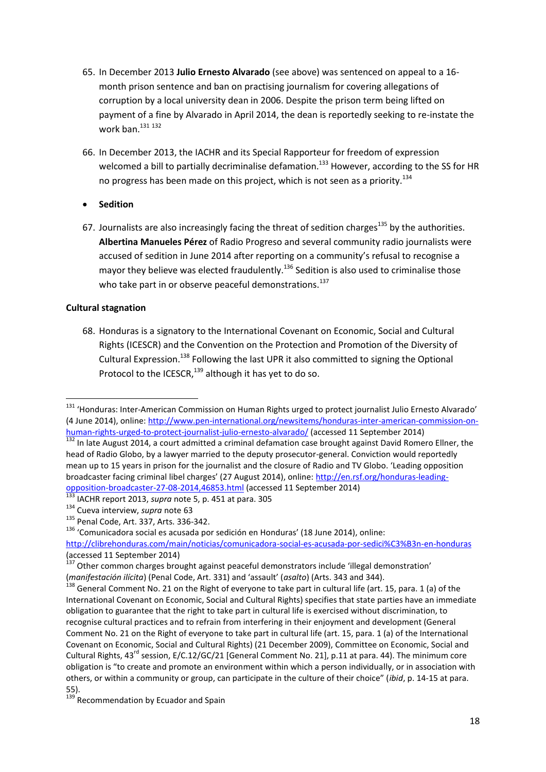- 65. In December 2013 **Julio Ernesto Alvarado** (see above) was sentenced on appeal to a 16 month prison sentence and ban on practising journalism for covering allegations of corruption by a local university dean in 2006. Despite the prison term being lifted on payment of a fine by Alvarado in April 2014, the dean is reportedly seeking to re-instate the work ban. $131 132$
- 66. In December 2013, the IACHR and its Special Rapporteur for freedom of expression welcomed a bill to partially decriminalise defamation.<sup>133</sup> However, according to the SS for HR no progress has been made on this project, which is not seen as a priority.<sup>134</sup>
- **Sedition**
- 67. Journalists are also increasingly facing the threat of sedition charges<sup>135</sup> by the authorities. **Albertina Manueles Pérez** of Radio Progreso and several community radio journalists were accused of sedition in June 2014 after reporting on a community's refusal to recognise a mayor they believe was elected fraudulently.<sup>136</sup> Sedition is also used to criminalise those who take part in or observe peaceful demonstrations.<sup>137</sup>

### **Cultural stagnation**

68. Honduras is a signatory to the International Covenant on Economic, Social and Cultural Rights (ICESCR) and the Convention on the Protection and Promotion of the Diversity of Cultural Expression.<sup>138</sup> Following the last UPR it also committed to signing the Optional Protocol to the ICESCR,  $^{139}$  although it has yet to do so.

<sup>136</sup> 'Comunicadora social es acusada por sedición en Honduras' (18 June 2014), online:

**<sup>.</sup>** <sup>131</sup> 'Honduras: Inter-American Commission on Human Rights urged to protect journalist Julio Ernesto Alvarado' (4 June 2014), online[: http://www.pen-international.org/newsitems/honduras-inter-american-commission-on](http://www.pen-international.org/newsitems/honduras-inter-american-commission-on-human-rights-urged-to-protect-journalist-julio-ernesto-alvarado/)[human-rights-urged-to-protect-journalist-julio-ernesto-alvarado/](http://www.pen-international.org/newsitems/honduras-inter-american-commission-on-human-rights-urged-to-protect-journalist-julio-ernesto-alvarado/) (accessed 11 September 2014)

<sup>132</sup> In late August 2014, a court admitted a criminal defamation case brought against David Romero Ellner, the head of Radio Globo, by a lawyer married to the deputy prosecutor-general. Conviction would reportedly mean up to 15 years in prison for the journalist and the closure of Radio and TV Globo. 'Leading opposition broadcaster facing criminal libel charges' (27 August 2014), online: [http://en.rsf.org/honduras-leading](http://en.rsf.org/honduras-leading-opposition-broadcaster-27-08-2014,46853.html)[opposition-broadcaster-27-08-2014,46853.html](http://en.rsf.org/honduras-leading-opposition-broadcaster-27-08-2014,46853.html) (accessed 11 September 2014)

<sup>133</sup> IACHR report 2013, *supra* note 5, p. 451 at para. 305

<sup>134</sup> Cueva interview, *supra* note 63

<sup>135</sup> Penal Code, Art. 337, Arts. 336-342.

<http://clibrehonduras.com/main/noticias/comunicadora-social-es-acusada-por-sedici%C3%B3n-en-honduras> (accessed 11 September 2014)

<sup>&</sup>lt;sup>137</sup> Other common charges brought against peaceful demonstrators include 'illegal demonstration' (*manifestación ilícita*) (Penal Code, Art. 331) and 'assault' (*asalto*) (Arts. 343 and 344).

<sup>&</sup>lt;sup>138</sup> General Comment No. 21 on the Right of everyone to take part in cultural life (art. 15, para. 1 (a) of the International Covenant on Economic, Social and Cultural Rights) specifies that state parties have an immediate obligation to guarantee that the right to take part in cultural life is exercised without discrimination, to recognise cultural practices and to refrain from interfering in their enjoyment and development (General Comment No. 21 on the Right of everyone to take part in cultural life (art. 15, para. 1 (a) of the International Covenant on Economic, Social and Cultural Rights) (21 December 2009), Committee on Economic, Social and Cultural Rights, 43<sup>rd</sup> session, E/C.12/GC/21 [General Comment No. 21], p.11 at para. 44). The minimum core obligation is "to create and promote an environment within which a person individually, or in association with others, or within a community or group, can participate in the culture of their choice" (*ibid*, p. 14-15 at para. 55).

<sup>&</sup>lt;sup>139'</sup> Recommendation by Ecuador and Spain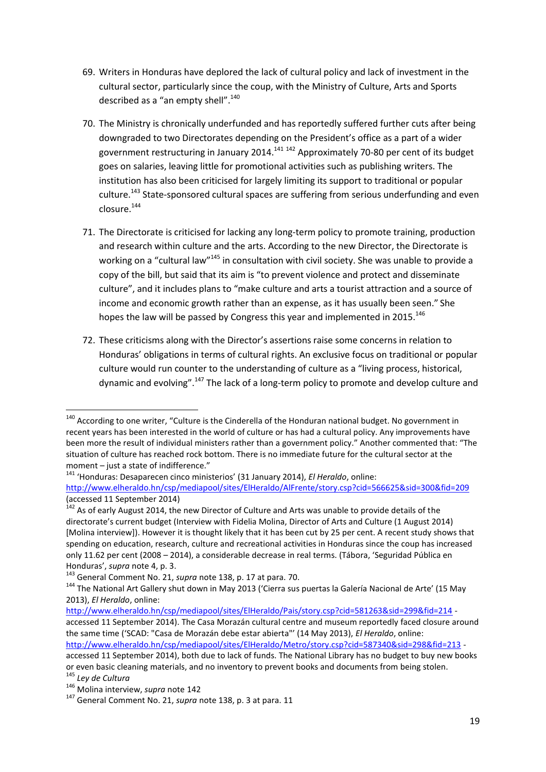- 69. Writers in Honduras have deplored the lack of cultural policy and lack of investment in the cultural sector, particularly since the coup, with the Ministry of Culture, Arts and Sports described as a "an empty shell".<sup>140</sup>
- 70. The Ministry is chronically underfunded and has reportedly suffered further cuts after being downgraded to two Directorates depending on the President's office as a part of a wider government restructuring in January 2014.<sup>141 142</sup> Approximately 70-80 per cent of its budget goes on salaries, leaving little for promotional activities such as publishing writers. The institution has also been criticised for largely limiting its support to traditional or popular culture.<sup>143</sup> State-sponsored cultural spaces are suffering from serious underfunding and even closure.<sup>144</sup>
- 71. The Directorate is criticised for lacking any long-term policy to promote training, production and research within culture and the arts. According to the new Director, the Directorate is working on a "cultural law"<sup>145</sup> in consultation with civil society. She was unable to provide a copy of the bill, but said that its aim is "to prevent violence and protect and disseminate culture", and it includes plans to "make culture and arts a tourist attraction and a source of income and economic growth rather than an expense, as it has usually been seen." She hopes the law will be passed by Congress this year and implemented in 2015.<sup>146</sup>
- 72. These criticisms along with the Director's assertions raise some concerns in relation to Honduras' obligations in terms of cultural rights. An exclusive focus on traditional or popular culture would run counter to the understanding of culture as a "living process, historical, dynamic and evolving".<sup>147</sup> The lack of a long-term policy to promote and develop culture and

<sup>&</sup>lt;sup>140</sup> According to one writer, "Culture is the Cinderella of the Honduran national budget. No government in recent years has been interested in the world of culture or has had a cultural policy. Any improvements have been more the result of individual ministers rather than a government policy." Another commented that: "The situation of culture has reached rock bottom. There is no immediate future for the cultural sector at the moment – just a state of indifference."

<sup>141</sup> 'Honduras: Desaparecen cinco ministerios' (31 January 2014), *El Heraldo*, online: <http://www.elheraldo.hn/csp/mediapool/sites/ElHeraldo/AlFrente/story.csp?cid=566625&sid=300&fid=209> (accessed 11 September 2014)

<sup>&</sup>lt;sup>142</sup> As of early August 2014, the new Director of Culture and Arts was unable to provide details of the directorate's current budget (Interview with Fidelia Molina, Director of Arts and Culture (1 August 2014) [Molina interview]). However it is thought likely that it has been cut by 25 per cent. A recent study shows that spending on education, research, culture and recreational activities in Honduras since the coup has increased only 11.62 per cent (2008 – 2014), a considerable decrease in real terms. (Tábora, 'Seguridad Pública en Honduras', *supra* note 4, p. 3.

<sup>143</sup> General Comment No. 21, *supra* note 138, p. 17 at para. 70.

<sup>144</sup> The National Art Gallery shut down in May 2013 ('Cierra sus puertas la Galería Nacional de Arte' (15 May 2013), *El Heraldo*, online:

<http://www.elheraldo.hn/csp/mediapool/sites/ElHeraldo/Pais/story.csp?cid=581263&sid=299&fid=214> accessed 11 September 2014). The Casa Morazán cultural centre and museum reportedly faced closure around the same time ('SCAD: "Casa de Morazán debe estar abierta"' (14 May 2013), *El Heraldo*, online: <http://www.elheraldo.hn/csp/mediapool/sites/ElHeraldo/Metro/story.csp?cid=587340&sid=298&fid=213> -

accessed 11 September 2014), both due to lack of funds. The National Library has no budget to buy new books or even basic cleaning materials, and no inventory to prevent books and documents from being stolen.

<sup>145</sup> *Ley de Cultura*

<sup>146</sup> Molina interview, *supra* note 142

<sup>147</sup> General Comment No. 21, *supra* note 138, p. 3 at para. 11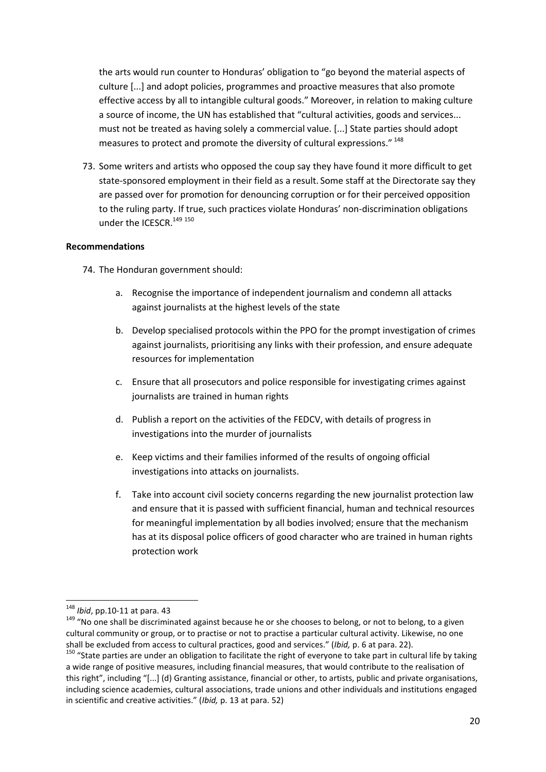the arts would run counter to Honduras' obligation to "go beyond the material aspects of culture [...] and adopt policies, programmes and proactive measures that also promote effective access by all to intangible cultural goods." Moreover, in relation to making culture a source of income, the UN has established that "cultural activities, goods and services... must not be treated as having solely a commercial value. [...] State parties should adopt measures to protect and promote the diversity of cultural expressions." <sup>148</sup>

73. Some writers and artists who opposed the coup say they have found it more difficult to get state-sponsored employment in their field as a result. Some staff at the Directorate say they are passed over for promotion for denouncing corruption or for their perceived opposition to the ruling party. If true, such practices violate Honduras' non-discrimination obligations under the ICESCR.<sup>149 150</sup>

#### **Recommendations**

74. The Honduran government should:

- a. Recognise the importance of independent journalism and condemn all attacks against journalists at the highest levels of the state
- b. Develop specialised protocols within the PPO for the prompt investigation of crimes against journalists, prioritising any links with their profession, and ensure adequate resources for implementation
- c. Ensure that all prosecutors and police responsible for investigating crimes against journalists are trained in human rights
- d. Publish a report on the activities of the FEDCV, with details of progress in investigations into the murder of journalists
- e. Keep victims and their families informed of the results of ongoing official investigations into attacks on journalists.
- f. Take into account civil society concerns regarding the new journalist protection law and ensure that it is passed with sufficient financial, human and technical resources for meaningful implementation by all bodies involved; ensure that the mechanism has at its disposal police officers of good character who are trained in human rights protection work

<sup>148</sup> *Ibid*, pp.10-11 at para. 43

<sup>&</sup>lt;sup>149</sup> "No one shall be discriminated against because he or she chooses to belong, or not to belong, to a given cultural community or group, or to practise or not to practise a particular cultural activity. Likewise, no one shall be excluded from access to cultural practices, good and services." (*Ibid,* p. 6 at para. 22).

<sup>&</sup>lt;sup>150</sup> "State parties are under an obligation to facilitate the right of everyone to take part in cultural life by taking a wide range of positive measures, including financial measures, that would contribute to the realisation of this right", including "[...] (d) Granting assistance, financial or other, to artists, public and private organisations, including science academies, cultural associations, trade unions and other individuals and institutions engaged in scientific and creative activities." (*Ibid,* p. 13 at para. 52)